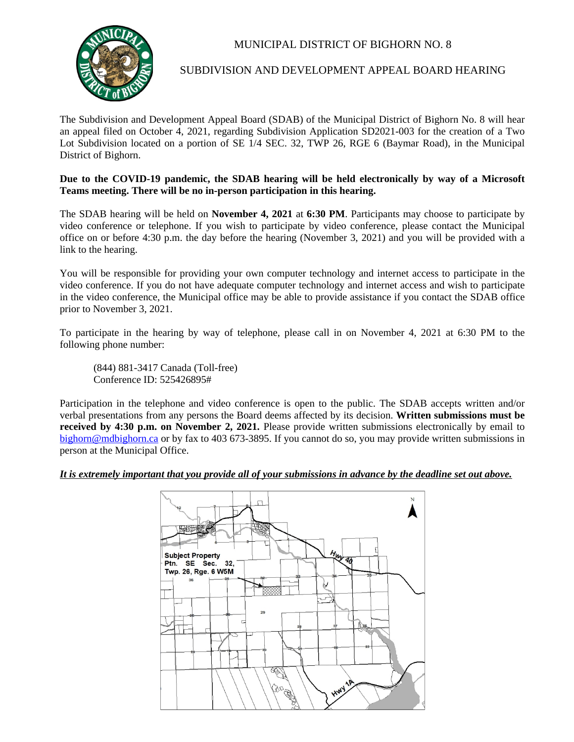

## MUNICIPAL DISTRICT OF BIGHORN NO. 8

## SUBDIVISION AND DEVELOPMENT APPEAL BOARD HEARING

The Subdivision and Development Appeal Board (SDAB) of the Municipal District of Bighorn No. 8 will hear an appeal filed on October 4, 2021, regarding Subdivision Application SD2021-003 for the creation of a Two Lot Subdivision located on a portion of SE 1/4 SEC. 32, TWP 26, RGE 6 (Baymar Road), in the Municipal District of Bighorn.

## **Due to the COVID-19 pandemic, the SDAB hearing will be held electronically by way of a Microsoft Teams meeting. There will be no in-person participation in this hearing.**

The SDAB hearing will be held on **November 4, 2021** at **6:30 PM**. Participants may choose to participate by video conference or telephone. If you wish to participate by video conference, please contact the Municipal office on or before 4:30 p.m. the day before the hearing (November 3, 2021) and you will be provided with a link to the hearing.

You will be responsible for providing your own computer technology and internet access to participate in the video conference. If you do not have adequate computer technology and internet access and wish to participate in the video conference, the Municipal office may be able to provide assistance if you contact the SDAB office prior to November 3, 2021.

To participate in the hearing by way of telephone, please call in on November 4, 2021 at 6:30 PM to the following phone number:

(844) 881-3417 Canada (Toll-free) Conference ID: 525426895#

Participation in the telephone and video conference is open to the public. The SDAB accepts written and/or verbal presentations from any persons the Board deems affected by its decision. **Written submissions must be received by 4:30 p.m. on November 2, 2021.** Please provide written submissions electronically by email to [bighorn@mdbighorn.ca](mailto:bighorn@mdbighorn.ca) or by fax to 403 673-3895. If you cannot do so, you may provide written submissions in person at the Municipal Office.

## *It is extremely important that you provide all of your submissions in advance by the deadline set out above.*